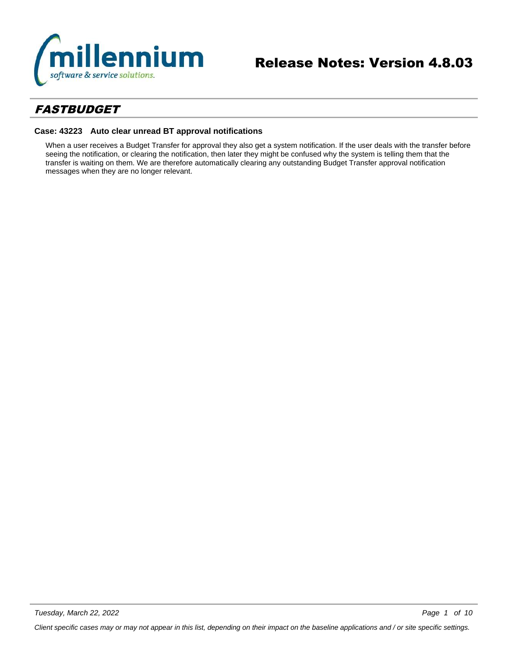

# *FASTBUDGET*

# **Case: 43223 Auto clear unread BT approval notifications**

When a user receives a Budget Transfer for approval they also get a system notification. If the user deals with the transfer before seeing the notification, or clearing the notification, then later they might be confused why the system is telling them that the transfer is waiting on them. We are therefore automatically clearing any outstanding Budget Transfer approval notification messages when they are no longer relevant.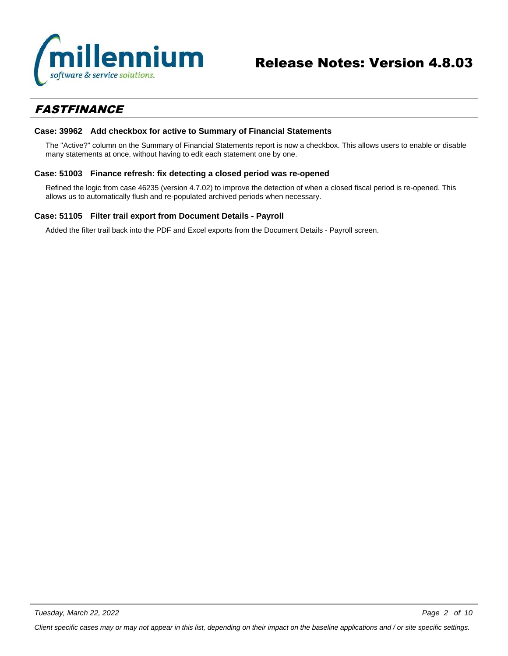

# *FASTFINANCE*

# **Case: 39962 Add checkbox for active to Summary of Financial Statements**

The "Active?" column on the Summary of Financial Statements report is now a checkbox. This allows users to enable or disable many statements at once, without having to edit each statement one by one.

# **Case: 51003 Finance refresh: fix detecting a closed period was re-opened**

Refined the logic from case 46235 (version 4.7.02) to improve the detection of when a closed fiscal period is re-opened. This allows us to automatically flush and re-populated archived periods when necessary.

## **Case: 51105 Filter trail export from Document Details - Payroll**

Added the filter trail back into the PDF and Excel exports from the Document Details - Payroll screen.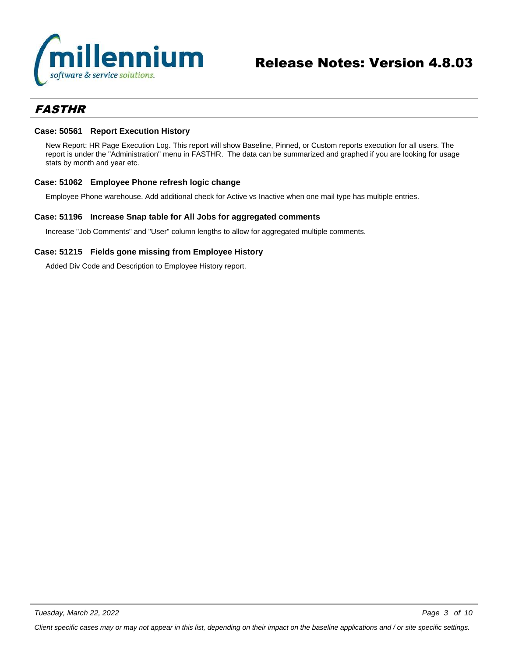

# *FASTHR*

# **Case: 50561 Report Execution History**

New Report: HR Page Execution Log. This report will show Baseline, Pinned, or Custom reports execution for all users. The report is under the "Administration" menu in FASTHR. The data can be summarized and graphed if you are looking for usage stats by month and year etc.

# **Case: 51062 Employee Phone refresh logic change**

Employee Phone warehouse. Add additional check for Active vs Inactive when one mail type has multiple entries.

## **Case: 51196 Increase Snap table for All Jobs for aggregated comments**

Increase "Job Comments" and "User" column lengths to allow for aggregated multiple comments.

# **Case: 51215 Fields gone missing from Employee History**

Added Div Code and Description to Employee History report.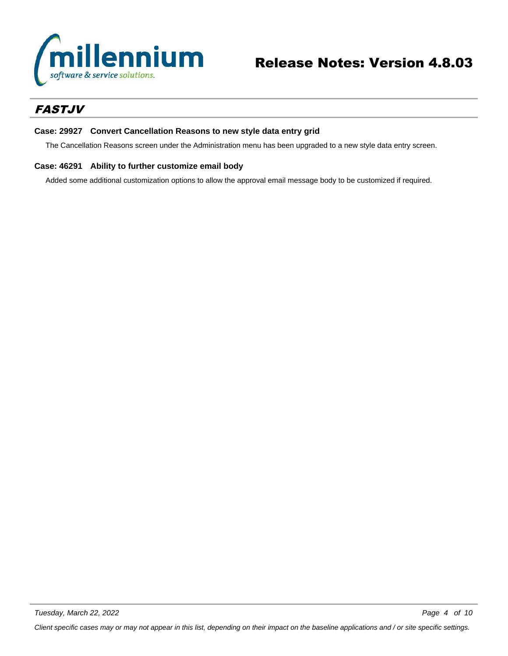

# *FASTJV*

# **Case: 29927 Convert Cancellation Reasons to new style data entry grid**

The Cancellation Reasons screen under the Administration menu has been upgraded to a new style data entry screen.

# **Case: 46291 Ability to further customize email body**

Added some additional customization options to allow the approval email message body to be customized if required.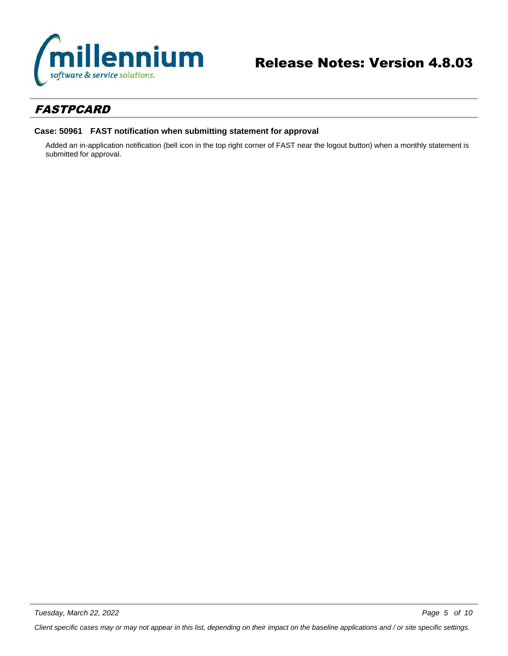

# *FASTPCARD*

# **Case: 50961 FAST notification when submitting statement for approval**

Added an in-application notification (bell icon in the top right corner of FAST near the logout button) when a monthly statement is submitted for approval.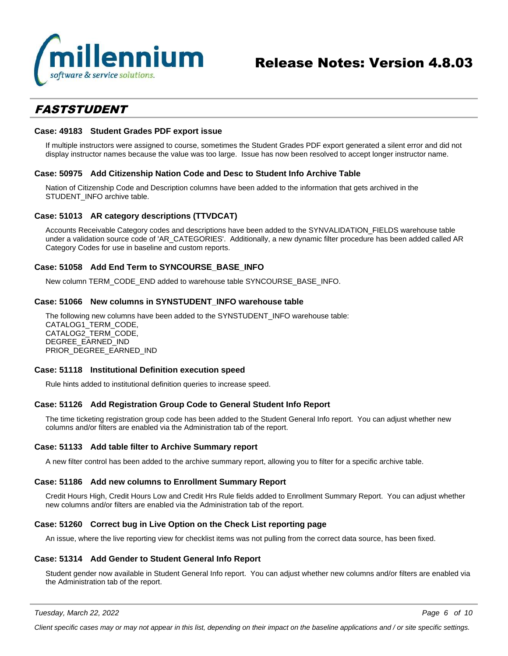

# *FASTSTUDENT*

#### **Case: 49183 Student Grades PDF export issue**

If multiple instructors were assigned to course, sometimes the Student Grades PDF export generated a silent error and did not display instructor names because the value was too large. Issue has now been resolved to accept longer instructor name.

# **Case: 50975 Add Citizenship Nation Code and Desc to Student Info Archive Table**

Nation of Citizenship Code and Description columns have been added to the information that gets archived in the STUDENT\_INFO archive table.

## **Case: 51013 AR category descriptions (TTVDCAT)**

Accounts Receivable Category codes and descriptions have been added to the SYNVALIDATION\_FIELDS warehouse table under a validation source code of 'AR\_CATEGORIES'. Additionally, a new dynamic filter procedure has been added called AR Category Codes for use in baseline and custom reports.

## **Case: 51058 Add End Term to SYNCOURSE\_BASE\_INFO**

New column TERM\_CODE\_END added to warehouse table SYNCOURSE\_BASE\_INFO.

#### **Case: 51066 New columns in SYNSTUDENT\_INFO warehouse table**

The following new columns have been added to the SYNSTUDENT\_INFO warehouse table: CATALOG1\_TERM\_CODE, CATALOG2\_TERM\_CODE, DEGREE\_EARNED\_IND PRIOR\_DEGREE\_EARNED\_IND

#### **Case: 51118 Institutional Definition execution speed**

Rule hints added to institutional definition queries to increase speed.

## **Case: 51126 Add Registration Group Code to General Student Info Report**

The time ticketing registration group code has been added to the Student General Info report. You can adjust whether new columns and/or filters are enabled via the Administration tab of the report.

#### **Case: 51133 Add table filter to Archive Summary report**

A new filter control has been added to the archive summary report, allowing you to filter for a specific archive table.

#### **Case: 51186 Add new columns to Enrollment Summary Report**

Credit Hours High, Credit Hours Low and Credit Hrs Rule fields added to Enrollment Summary Report. You can adjust whether new columns and/or filters are enabled via the Administration tab of the report.

#### **Case: 51260 Correct bug in Live Option on the Check List reporting page**

An issue, where the live reporting view for checklist items was not pulling from the correct data source, has been fixed.

#### **Case: 51314 Add Gender to Student General Info Report**

Student gender now available in Student General Info report. You can adjust whether new columns and/or filters are enabled via the Administration tab of the report.

*Tuesday, March 22, 2022*

*Page 6 of 10*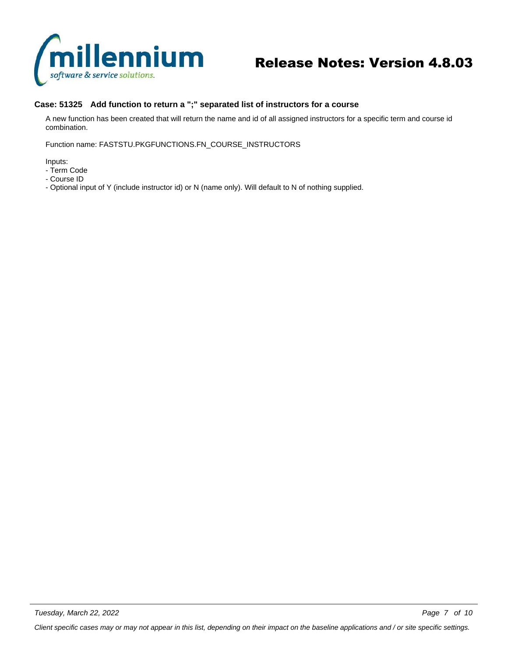

# **Case: 51325 Add function to return a ";" separated list of instructors for a course**

A new function has been created that will return the name and id of all assigned instructors for a specific term and course id combination.

Function name: FASTSTU.PKGFUNCTIONS.FN\_COURSE\_INSTRUCTORS

Inputs:

- Term Code
- Course ID
- Optional input of Y (include instructor id) or N (name only). Will default to N of nothing supplied.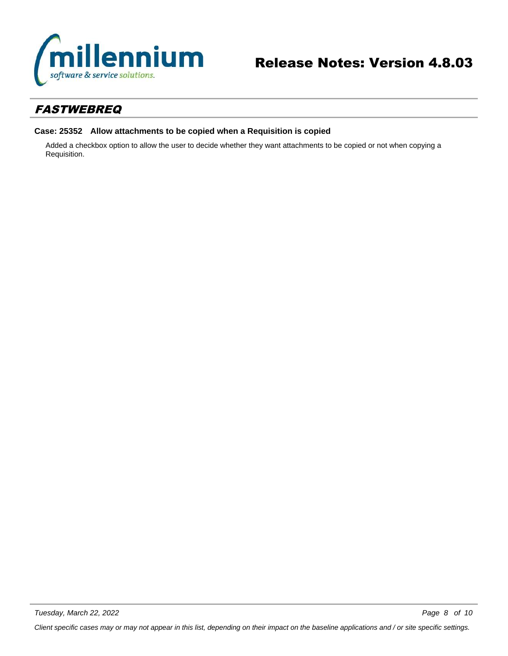

# *FASTWEBREQ*

# **Case: 25352 Allow attachments to be copied when a Requisition is copied**

Added a checkbox option to allow the user to decide whether they want attachments to be copied or not when copying a Requisition.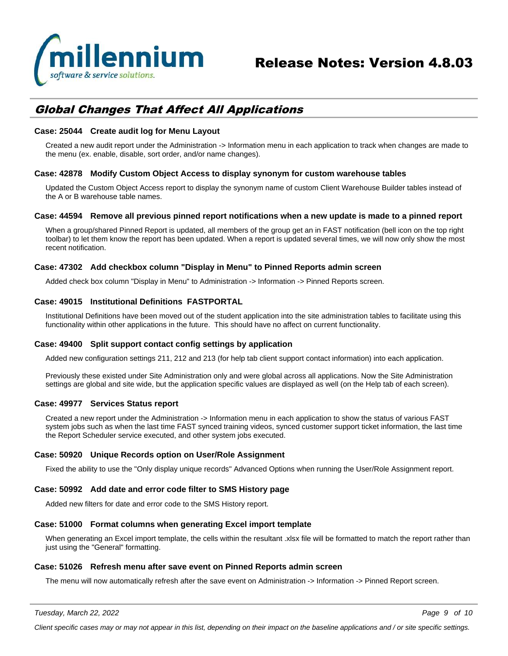

# *Global Changes That Affect All Applications*

# **Case: 25044 Create audit log for Menu Layout**

Created a new audit report under the Administration -> Information menu in each application to track when changes are made to the menu (ex. enable, disable, sort order, and/or name changes).

## **Case: 42878 Modify Custom Object Access to display synonym for custom warehouse tables**

Updated the Custom Object Access report to display the synonym name of custom Client Warehouse Builder tables instead of the A or B warehouse table names.

#### **Case: 44594 Remove all previous pinned report notifications when a new update is made to a pinned report**

When a group/shared Pinned Report is updated, all members of the group get an in FAST notification (bell icon on the top right toolbar) to let them know the report has been updated. When a report is updated several times, we will now only show the most recent notification.

## **Case: 47302 Add checkbox column "Display in Menu" to Pinned Reports admin screen**

Added check box column "Display in Menu" to Administration -> Information -> Pinned Reports screen.

## **Case: 49015 Institutional Definitions FASTPORTAL**

Institutional Definitions have been moved out of the student application into the site administration tables to facilitate using this functionality within other applications in the future. This should have no affect on current functionality.

## **Case: 49400 Split support contact config settings by application**

Added new configuration settings 211, 212 and 213 (for help tab client support contact information) into each application.

Previously these existed under Site Administration only and were global across all applications. Now the Site Administration settings are global and site wide, but the application specific values are displayed as well (on the Help tab of each screen).

#### **Case: 49977 Services Status report**

Created a new report under the Administration -> Information menu in each application to show the status of various FAST system jobs such as when the last time FAST synced training videos, synced customer support ticket information, the last time the Report Scheduler service executed, and other system jobs executed.

# **Case: 50920 Unique Records option on User/Role Assignment**

Fixed the ability to use the "Only display unique records" Advanced Options when running the User/Role Assignment report.

#### **Case: 50992 Add date and error code filter to SMS History page**

Added new filters for date and error code to the SMS History report.

#### **Case: 51000 Format columns when generating Excel import template**

When generating an Excel import template, the cells within the resultant .xlsx file will be formatted to match the report rather than just using the "General" formatting.

#### **Case: 51026 Refresh menu after save event on Pinned Reports admin screen**

The menu will now automatically refresh after the save event on Administration -> Information -> Pinned Report screen.